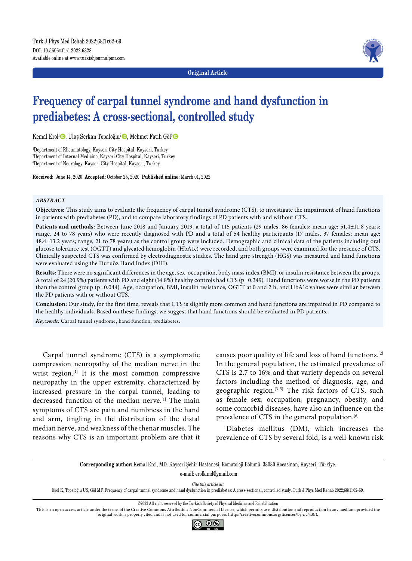**Original Article**



# **Frequency of carpal tunnel syndrome and hand dysfunction in prediabetes: A cross-sectional, controlled study**

Kemal Erol<sup>1</sup><sup>®</sup>, Ulaş Serkan Topaloğlu<sup>2</sup>®, Mehmet Fatih Göl<sup>3</sup>

1 Department of Rheumatology, Kayseri City Hospital, Kayseri, Turkey 2 Department of Internal Medicine, Kayseri City Hospital, Kayseri, Turkey 3 Department of Neurology, Kayseri City Hospital, Kayseri, Turkey

**Received:** June 14, 2020 **Accepted:** October 25, 2020 **Published online:** March 01, 2022

#### *ABSTRACT*

**Objectives:** This study aims to evaluate the frequency of carpal tunnel syndrome (CTS), to investigate the impairment of hand functions in patients with prediabetes (PD), and to compare laboratory findings of PD patients with and without CTS.

Patients and methods: Between June 2018 and January 2019, a total of 115 patients (29 males, 86 females; mean age: 51.4±11.8 years; range, 24 to 78 years) who were recently diagnosed with PD and a total of 54 healthy participants (17 males, 37 females; mean age: 48.4±13.2 years; range, 21 to 78 years) as the control group were included. Demographic and clinical data of the patients including oral glucose tolerance test (OGTT) and glycated hemoglobin (HbA1c) were recorded, and both groups were examined for the presence of CTS. Clinically suspected CTS was confirmed by electrodiagnostic studies. The hand grip strength (HGS) was measured and hand functions were evaluated using the Duruöz Hand Index (DHI).

**Results:** There were no significant differences in the age, sex, occupation, body mass index (BMI), or insulin resistance between the groups. A total of 24 (20.9%) patients with PD and eight (14.8%) healthy controls had CTS (p=0.349). Hand functions were worse in the PD patients than the control group (p=0.044). Age, occupation, BMI, insulin resistance, OGTT at 0 and 2 h, and HbA1c values were similar between the PD patients with or without CTS.

**Conclusion:** Our study, for the first time, reveals that CTS is slightly more common and hand functions are impaired in PD compared to the healthy individuals. Based on these findings, we suggest that hand functions should be evaluated in PD patients.

*Keywords:* Carpal tunnel syndrome, hand function, prediabetes.

Carpal tunnel syndrome (CTS) is a symptomatic compression neuropathy of the median nerve in the wrist region.<sup>[1]</sup> It is the most common compressive neuropathy in the upper extremity, characterized by increased pressure in the carpal tunnel, leading to decreased function of the median nerve.<sup>[1]</sup> The main symptoms of CTS are pain and numbness in the hand and arm, tingling in the distribution of the distal median nerve, and weakness of the thenar muscles. The reasons why CTS is an important problem are that it causes poor quality of life and loss of hand functions.[2] In the general population, the estimated prevalence of CTS is 2.7 to 16% and that variety depends on several factors including the method of diagnosis, age, and geographic region.[3-5] The risk factors of CTS, such as female sex, occupation, pregnancy, obesity, and some comorbid diseases, have also an influence on the prevalence of CTS in the general population.<sup>[6]</sup>

Diabetes mellitus (DM), which increases the prevalence of CTS by several fold, is a well-known risk

**Corresponding author:** Kemal Erol, MD. Kayseri Şehir Hastanesi, Romatoloji Bölümü, 38080 Kocasinan, Kayseri, Türkiye. e-mail: erolk.md@gmail.com

*Cite this article as:*

Erol K, Topaloğlu US, Göl MF. Frequency of carpal tunnel syndrome and hand dysfunction in prediabetes: A cross-sectional, controlled study. Turk J Phys Med Rehab 2022;68(1):62-69.

This is an open access article under the terms of the Creative Commons Attribution-NonCommercial License, which permits use, distribution and reproduction in any medium, provided the original work is properly cited and is not used for commercial purposes (http://creativecommons.org/licenses/by-nc/4.0/).



<sup>©2022</sup> All right reserved by the Turkish Society of Physical Medicine and Rehabilitation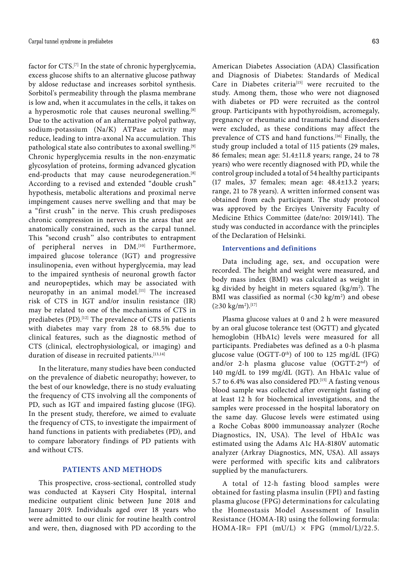factor for CTS.<sup>[7]</sup> In the state of chronic hyperglycemia, excess glucose shifts to an alternative glucose pathway by aldose reductase and increases sorbitol synthesis. Sorbitol's permeability through the plasma membrane is low and, when it accumulates in the cells, it takes on a hyperosmotic role that causes neuronal swelling.<sup>[8]</sup> Due to the activation of an alternative polyol pathway, sodium-potassium (Na/K) ATPase activity may reduce, leading to intra-axonal Na accumulation. This pathological state also contributes to axonal swelling.[9] Chronic hyperglycemia results in the non-enzymatic glycosylation of proteins, forming advanced glycation end-products that may cause neurodegeneration.<sup>[8]</sup> According to a revised and extended "double crush" hypothesis, metabolic alterations and proximal nerve impingement causes nerve swelling and that may be a "first crush" in the nerve. This crush predisposes chronic compression in nerves in the areas that are anatomically constrained, such as the carpal tunnel. This "second crush'' also contributes to entrapment of peripheral nerves in DM.<sup>[10]</sup> Furthermore, impaired glucose tolerance (IGT) and progressive insulinopenia, even without hyperglycemia, may lead to the impaired synthesis of neuronal growth factor and neuropeptides, which may be associated with neuropathy in an animal model.<sup>[11]</sup> The increased risk of CTS in IGT and/or insulin resistance (IR) may be related to one of the mechanisms of CTS in prediabetes (PD).<sup>[12]</sup> The prevalence of CTS in patients with diabetes may vary from 28 to 68.5% due to clinical features, such as the diagnostic method of CTS (clinical, electrophysiological, or imaging) and duration of disease in recruited patients.<sup>[13,14]</sup>

In the literature, many studies have been conducted on the prevalence of diabetic neuropathy; however, to the best of our knowledge, there is no study evaluating the frequency of CTS involving all the components of PD, such as IGT and impaired fasting glucose (IFG). In the present study, therefore, we aimed to evaluate the frequency of CTS, to investigate the impairment of hand functions in patients with prediabetes (PD), and to compare laboratory findings of PD patients with and without CTS.

## **PATIENTS AND METHODS**

This prospective, cross-sectional, controlled study was conducted at Kayseri City Hospital, internal medicine outpatient clinic between June 2018 and January 2019. Individuals aged over 18 years who were admitted to our clinic for routine health control and were, then, diagnosed with PD according to the

American Diabetes Association (ADA) Classification and Diagnosis of Diabetes: Standards of Medical Care in Diabetes criteria<sup>[15]</sup> were recruited to the study. Among them, those who were not diagnosed with diabetes or PD were recruited as the control group. Participants with hypothyroidism, acromegaly, pregnancy or rheumatic and traumatic hand disorders were excluded, as these conditions may affect the prevalence of CTS and hand functions.<sup>[16]</sup> Finally, the study group included a total of 115 patients (29 males, 86 females; mean age: 51.4±11.8 years; range, 24 to 78 years) who were recently diagnosed with PD, while the control group included a total of 54 healthy participants (17 males, 37 females; mean age: 48.4±13.2 years; range, 21 to 78 years). A written informed consent was obtained from each participant. The study protocol was approved by the Erciyes University Faculty of Medicine Ethics Committee (date/no: 2019/141). The study was conducted in accordance with the principles of the Declaration of Helsinki.

## **Interventions and definitions**

Data including age, sex, and occupation were recorded. The height and weight were measured, and body mass index (BMI) was calculated as weight in kg divided by height in meters squared  $(kg/m<sup>2</sup>)$ . The BMI was classified as normal  $\left($  < 30 kg/m<sup>2</sup>) and obese (≥30 kg/m<sup>2</sup>).<sup>[17]</sup>

Plasma glucose values at 0 and 2 h were measured by an oral glucose tolerance test (OGTT) and glycated hemoglobin (HbA1c) levels were measured for all participants. Prediabetes was defined as a 0-h plasma glucose value (OGTT-0<sup>th</sup>) of 100 to 125 mg/dL (IFG) and/or 2-h plasma glucose value (OGTT-2nd) of 140 mg/dL to 199 mg/dL (IGT). An HbA1c value of 5.7 to 6.4% was also considered PD.[15] A fasting venous blood sample was collected after overnight fasting of at least 12 h for biochemical investigations, and the samples were processed in the hospital laboratory on the same day. Glucose levels were estimated using a Roche Cobas 8000 immunoassay analyzer (Roche Diagnostics, IN, USA). The level of HbA1c was estimated using the Adams A1c HA-8180V automatic analyzer (Arkray Diagnostics, MN, USA). All assays were performed with specific kits and calibrators supplied by the manufacturers.

A total of 12-h fasting blood samples were obtained for fasting plasma insulin (FPI) and fasting plasma glucose (FPG) determinations for calculating the Homeostasis Model Assessment of Insulin Resistance (HOMA-IR) using the following formula: HOMA-IR= FPI  $(mU/L) \times FPG$   $(mmol/L)/22.5$ .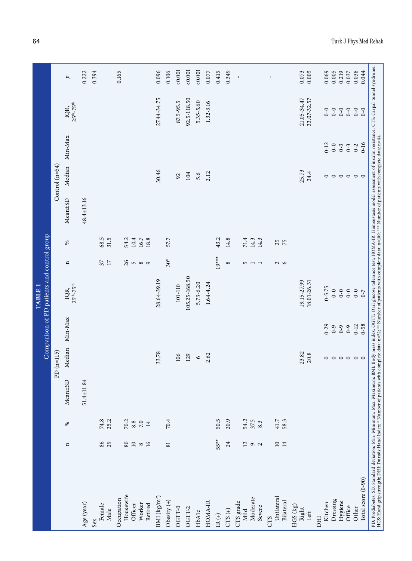|                                                                                                                                                                                                                                                                                                                                                                                                                                                           |                 |                    |                     |                                  |          | Comparison of PD patients and control group<br>TABLE <sub>1</sub> |                |      |            |                           |          |                       |           |
|-----------------------------------------------------------------------------------------------------------------------------------------------------------------------------------------------------------------------------------------------------------------------------------------------------------------------------------------------------------------------------------------------------------------------------------------------------------|-----------------|--------------------|---------------------|----------------------------------|----------|-------------------------------------------------------------------|----------------|------|------------|---------------------------|----------|-----------------------|-----------|
|                                                                                                                                                                                                                                                                                                                                                                                                                                                           |                 |                    |                     | PD $(n=115)$                     |          |                                                                   |                |      |            | Control $(n=54)$          |          |                       |           |
|                                                                                                                                                                                                                                                                                                                                                                                                                                                           | $\mathbf{a}$    | ℅                  | Mean±SD             | Median                           | Min-Max  | $25th - 75th$<br>IQR,                                             | $\mathbf{u}$   | ℅    | Mean±SD    | Median                    | Min-Max  | $25th - 75th$<br>IQR, | p         |
| Age (year)                                                                                                                                                                                                                                                                                                                                                                                                                                                |                 |                    | 84<br>$51.4 \pm 11$ |                                  |          |                                                                   |                |      | 48.4±13.16 |                           |          |                       | 0.222     |
| Sex                                                                                                                                                                                                                                                                                                                                                                                                                                                       |                 |                    |                     |                                  |          |                                                                   |                |      |            |                           |          |                       | 0.394     |
| Female                                                                                                                                                                                                                                                                                                                                                                                                                                                    | 86              | 74.8               |                     |                                  |          |                                                                   | $37$ $\hfill$  | 68.5 |            |                           |          |                       |           |
| Male                                                                                                                                                                                                                                                                                                                                                                                                                                                      | 29              | 25.2               |                     |                                  |          |                                                                   |                | 31.5 |            |                           |          |                       |           |
| Occupation                                                                                                                                                                                                                                                                                                                                                                                                                                                |                 |                    |                     |                                  |          |                                                                   |                |      |            |                           |          |                       | 0.165     |
| Housewife                                                                                                                                                                                                                                                                                                                                                                                                                                                 | $\rm 80$        | $\frac{70.2}{8.8}$ |                     |                                  |          |                                                                   | $\frac{26}{5}$ | 54.2 |            |                           |          |                       |           |
| Officer                                                                                                                                                                                                                                                                                                                                                                                                                                                   | $10\,$          |                    |                     |                                  |          |                                                                   | <b>5</b> 8 9   | 10.4 |            |                           |          |                       |           |
| Worker                                                                                                                                                                                                                                                                                                                                                                                                                                                    | $\infty$        | $7.0\,$            |                     |                                  |          |                                                                   |                | 16.7 |            |                           |          |                       |           |
| Retired                                                                                                                                                                                                                                                                                                                                                                                                                                                   | 16              | $14$               |                     |                                  |          |                                                                   |                | 18.8 |            |                           |          |                       |           |
| BMI (kg/m <sup>2</sup> )                                                                                                                                                                                                                                                                                                                                                                                                                                  |                 |                    |                     | 33.78                            |          | 28.64-39.19                                                       |                |      |            | 30.46                     |          | 27.44-34.75           | 0.096     |
| Obesity $(+)$                                                                                                                                                                                                                                                                                                                                                                                                                                             | 81              | 70.4               |                     |                                  |          |                                                                   | $30*$          | 57.7 |            |                           |          |                       | 0.106     |
| OGTT-0                                                                                                                                                                                                                                                                                                                                                                                                                                                    |                 |                    |                     | 106                              |          | 101-110                                                           |                |      |            | 92                        |          | 87.5-95.5             | 0.001     |
| OGTT-2                                                                                                                                                                                                                                                                                                                                                                                                                                                    |                 |                    |                     | 129                              |          | 105.25-168.50                                                     |                |      |            | 104                       |          | 92.5-118.50           | 0.001     |
| HbA1c                                                                                                                                                                                                                                                                                                                                                                                                                                                     |                 |                    |                     | $\circ$                          |          | $5.73 - 6.20$                                                     |                |      |            | 5.6                       |          | $5.35 - 5.60$         | 0.001     |
| HOMA-IR                                                                                                                                                                                                                                                                                                                                                                                                                                                   |                 |                    |                     | 2.62                             |          | 1.64-4.24                                                         |                |      |            | 2.12                      |          | 1.32-3.16             | 0.077     |
| IR $(+)$                                                                                                                                                                                                                                                                                                                                                                                                                                                  | 55**            | 50.5               |                     |                                  |          |                                                                   | $19***$        | 43.2 |            |                           |          |                       | 0.415     |
| $CTS (+)$                                                                                                                                                                                                                                                                                                                                                                                                                                                 | 24              | 20.9               |                     |                                  |          |                                                                   | $\infty$       | 14.8 |            |                           |          |                       | 0.349     |
| CTS grade<br>Mild                                                                                                                                                                                                                                                                                                                                                                                                                                         | 13              | 54.2               |                     |                                  |          |                                                                   | 5              | 71.4 |            |                           |          |                       | $\,$      |
| Moderate                                                                                                                                                                                                                                                                                                                                                                                                                                                  |                 | 37.5               |                     |                                  |          |                                                                   |                | 14.3 |            |                           |          |                       |           |
| Severe                                                                                                                                                                                                                                                                                                                                                                                                                                                    | $\sigma$ $\sim$ | 8.3                |                     |                                  |          |                                                                   | $-1$           | 14.3 |            |                           |          |                       |           |
| <b>CTS</b>                                                                                                                                                                                                                                                                                                                                                                                                                                                |                 |                    |                     |                                  |          |                                                                   |                |      |            |                           |          |                       | $\bar{1}$ |
| Unilateral                                                                                                                                                                                                                                                                                                                                                                                                                                                | 14<br>$\Box$    | 58.3<br>41.7       |                     |                                  |          |                                                                   | $\sim$         | 25   |            |                           |          |                       |           |
| Bilateral                                                                                                                                                                                                                                                                                                                                                                                                                                                 |                 |                    |                     |                                  |          |                                                                   |                |      |            |                           |          |                       |           |
| $HGS$ (kg)<br>Right                                                                                                                                                                                                                                                                                                                                                                                                                                       |                 |                    |                     | 23.82                            |          | 19.15-27.99                                                       |                |      |            | 25.73                     |          | 21.05-34.47           | 0.073     |
| Left                                                                                                                                                                                                                                                                                                                                                                                                                                                      |                 |                    |                     | 20.8                             |          | 18.01-26.31                                                       |                |      |            | 24.4                      |          | 22.07-32.57           | 0.005     |
| DHI                                                                                                                                                                                                                                                                                                                                                                                                                                                       |                 |                    |                     |                                  |          |                                                                   |                |      |            |                           |          |                       |           |
| Kitchen                                                                                                                                                                                                                                                                                                                                                                                                                                                   |                 |                    |                     |                                  | $0 - 29$ | $0 - 5.75$                                                        |                |      |            | $\circ$                   | $0 - 12$ | $0 - 0$               | 0.069     |
| Dressing                                                                                                                                                                                                                                                                                                                                                                                                                                                  |                 |                    |                     |                                  | $6 - 9$  | $0-0$                                                             |                |      |            |                           | $0 - 0$  | $0-0$                 | 0.005     |
| Hygiene                                                                                                                                                                                                                                                                                                                                                                                                                                                   |                 |                    |                     |                                  | $6 - 9$  | $0-0$                                                             |                |      |            |                           | $0 - 3$  | $0-0$                 | 0.219     |
| Office                                                                                                                                                                                                                                                                                                                                                                                                                                                    |                 |                    |                     |                                  | $6 - 0$  | $0-0$                                                             |                |      |            |                           | $0 - 3$  | $0-0$                 | 0.037     |
| Other                                                                                                                                                                                                                                                                                                                                                                                                                                                     |                 |                    |                     | $\circ\circ\circ\circ\circ\circ$ | $0 - 12$ | $0-0$                                                             |                |      |            | $\circ \circ \circ \circ$ | $0 - 2$  | $0-0$                 | 0.038     |
| Total score (0-90)                                                                                                                                                                                                                                                                                                                                                                                                                                        |                 |                    |                     |                                  | $0 - 58$ | $0-7$                                                             |                |      |            |                           | $0 - 16$ | $0 - 0$               | 0.044     |
| PD: Prediabetes; SD: Standard deviation; Min: Minimum; Max: Maximum; BMI: Body mass index; OGTT: Oral glucose tolerance test; HOMA-IR: Homeostasis model assessment of insulin resistance; CTS: Carpal tunnel syndrome;<br>HGS: Hand grip strength; DHI: Duruöz Hand Index; * Number of patients with complete data: n=52; ** Number of patients with complete data: n=109; *** Number of patients with complete acta: n=109; *** Number of patients with |                 |                    |                     |                                  |          |                                                                   |                |      |            |                           |          |                       |           |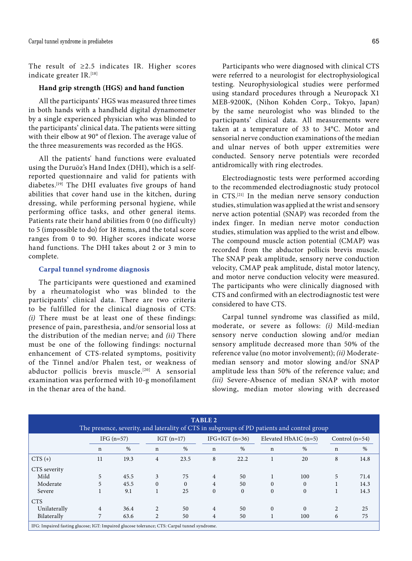The result of ≥2.5 indicates IR. Higher scores indicate greater IR.[18]

## **Hand grip strength (HGS) and hand function**

All the participants' HGS was measured three times in both hands with a handheld digital dynamometer by a single experienced physician who was blinded to the participants' clinical data. The patients were sitting with their elbow at 90° of flexion. The average value of the three measurements was recorded as the HGS.

All the patients' hand functions were evaluated using the Duruöz's Hand Index (DHI), which is a selfreported questionnaire and valid for patients with diabetes.<sup>[19]</sup> The DHI evaluates five groups of hand abilities that cover hand use in the kitchen, during dressing, while performing personal hygiene, while performing office tasks, and other general items. Patients rate their hand abilities from 0 (no difficulty) to 5 (impossible to do) for 18 items, and the total score ranges from 0 to 90. Higher scores indicate worse hand functions. The DHI takes about 2 or 3 min to complete.

#### **Carpal tunnel syndrome diagnosis**

The participants were questioned and examined by a rheumatologist who was blinded to the participants' clinical data. There are two criteria to be fulfilled for the clinical diagnosis of CTS: *(i)* There must be at least one of these findings: presence of pain, paresthesia, and/or sensorial loss at the distribution of the median nerve; and *(ii)* There must be one of the following findings: nocturnal enhancement of CTS-related symptoms, positivity of the Tinnel and/or Phalen test, or weakness of abductor pollicis brevis muscle.<sup>[20]</sup> A sensorial examination was performed with 10-g monofilament in the thenar area of the hand.

Participants who were diagnosed with clinical CTS were referred to a neurologist for electrophysiological testing. Neurophysiological studies were performed using standard procedures through a Neuropack X1 MEB-9200K, (Nihon Kohden Corp., Tokyo, Japan) by the same neurologist who was blinded to the participants' clinical data. All measurements were taken at a temperature of 33 to 34°C. Motor and sensorial nerve conduction examinations of the median and ulnar nerves of both upper extremities were conducted. Sensory nerve potentials were recorded antidromically with ring electrodes.

Electrodiagnostic tests were performed according to the recommended electrodiagnostic study protocol in CTS.[21] In the median nerve sensory conduction studies, stimulation was applied at the wrist and sensory nerve action potential (SNAP) was recorded from the index finger. In median nerve motor conduction studies, stimulation was applied to the wrist and elbow. The compound muscle action potential (CMAP) was recorded from the abductor pollicis brevis muscle. The SNAP peak amplitude, sensory nerve conduction velocity, CMAP peak amplitude, distal motor latency, and motor nerve conduction velocity were measured. The participants who were clinically diagnosed with CTS and confirmed with an electrodiagnostic test were considered to have CTS.

Carpal tunnel syndrome was classified as mild, moderate, or severe as follows: *(i)* Mild-median sensory nerve conduction slowing and/or median sensory amplitude decreased more than 50% of the reference value (no motor involvement); *(ii)* Moderatemedian sensory and motor slowing and/or SNAP amplitude less than 50% of the reference value; and *(iii)* Severe-Absence of median SNAP with motor slowing, median motor slowing with decreased

|                                                                                              |             |              |                |              | <b>TABLE 2</b> |                  |              | The presence, severity, and laterality of CTS in subgroups of PD patients and control group |                |                  |
|----------------------------------------------------------------------------------------------|-------------|--------------|----------------|--------------|----------------|------------------|--------------|---------------------------------------------------------------------------------------------|----------------|------------------|
|                                                                                              |             | IFG $(n=57)$ |                | IGT $(n=17)$ |                | IFG+IGT $(n=36)$ |              | Elevated HbA1C $(n=5)$                                                                      |                | Control $(n=54)$ |
|                                                                                              | $\mathbf n$ | $\%$         | $\mathbf n$    | $\%$         | $\mathbf n$    | %                | $\mathbf n$  | $\%$                                                                                        | n              | $\%$             |
| $CTS (+)$                                                                                    | 11          | 19.3         | 4              | 23.5         | 8              | 22.2             |              | 20                                                                                          | 8              | 14.8             |
| CTS severity                                                                                 |             |              |                |              |                |                  |              |                                                                                             |                |                  |
| Mild                                                                                         | 5           | 45.5         | 3              | 75           | 4              | 50               |              | 100                                                                                         | 5              | 71.4             |
| Moderate                                                                                     | 5           | 45.5         | $\Omega$       | $\Omega$     | $\overline{4}$ | 50               | $\Omega$     | $\theta$                                                                                    |                | 14.3             |
| Severe                                                                                       |             | 9.1          |                | 25           | $\Omega$       | $\Omega$         | $\mathbf{0}$ | $\Omega$                                                                                    |                | 14.3             |
| <b>CTS</b>                                                                                   |             |              |                |              |                |                  |              |                                                                                             |                |                  |
| Unilaterally                                                                                 | 4           | 36.4         | $\overline{2}$ | 50           | $\overline{4}$ | 50               | $\mathbf{0}$ | $\Omega$                                                                                    | $\overline{c}$ | 25               |
| Bilaterally                                                                                  | 7           | 63.6         | 2              | 50           | 4              | 50               |              | 100                                                                                         | 6              | 75               |
| IFG: Impaired fasting glucose; IGT: Impaired glucose tolerance; CTS: Carpal tunnel syndrome. |             |              |                |              |                |                  |              |                                                                                             |                |                  |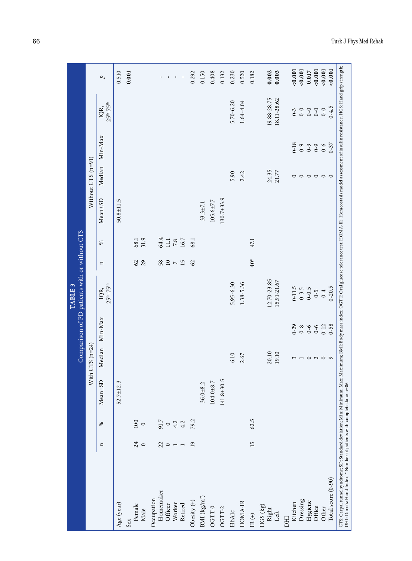| 0.001<br>0.001<br>0.001<br>0.001<br>0.001<br>0.002<br>0.003<br>0.017<br>0.510<br>0.001<br>0.292<br>0.230<br>0.520<br>0.150<br>0.408<br>0.132<br>0.182<br>$\mathbf{u}$<br>$\,$<br>p<br>$\mathbf{r} = -\mathbf{r}$<br>19.88-28.75<br>18.11-28.62<br>1.64-4.04<br>5.70-6.20<br>$25th-75th$<br>IQR,<br>$0 - 4.5$<br>$0-0$<br>$0-0$<br>$0-0$<br>$0 - 0$<br>$0 - 3$<br>Min-Max<br>$0 - 18$<br>$0 - 37$<br>$6 - 0$<br>$6 - 0$<br>$6 - 0$<br>Without CTS (n=91)<br>Median<br>24.35<br>21.77<br>5.90<br>2.42<br>$\circ\circ\circ\circ\circ$<br>$\circ$<br>$130.7 + 33.9$<br>Mean±SD<br>$50.8 \pm 11.5$<br>$105.6 \pm 7.7$<br>$33.3 \pm 7.1$<br>31.9<br>64.4<br>$\frac{11.1}{7.8}$<br>68.1<br>68.1<br>47.1<br>℅<br>$40*$<br>29<br>62<br>58<br>$\frac{10}{7}$ N<br>62<br>$\mathbf{u}$<br>12.70-23.85<br>15.91-21.67<br>5.95-6.30<br>1.38-5.36<br>$25th-75th$<br>$0 - 11.5$<br>$0 - 20.5$<br>$0 - 3.5$<br>$0 - 0.5$<br>IQR,<br>$0-4$<br>$6 - 0$<br>Min-Max<br>$0 - 29$<br>$0 - 58$<br>$0 - 12$<br>$0 - 6$<br>$0-8$<br>$0 - 6$<br>$With CTS (n=24)$<br>Median<br>20.10<br>19.10<br>6.10<br>2.67<br>$\overline{a}$ $\overline{a}$ $\overline{a}$ $\overline{a}$ $\overline{a}$<br>3 |                                  |
|-----------------------------------------------------------------------------------------------------------------------------------------------------------------------------------------------------------------------------------------------------------------------------------------------------------------------------------------------------------------------------------------------------------------------------------------------------------------------------------------------------------------------------------------------------------------------------------------------------------------------------------------------------------------------------------------------------------------------------------------------------------------------------------------------------------------------------------------------------------------------------------------------------------------------------------------------------------------------------------------------------------------------------------------------------------------------------------------------------------------------------------------------------------------------|----------------------------------|
|                                                                                                                                                                                                                                                                                                                                                                                                                                                                                                                                                                                                                                                                                                                                                                                                                                                                                                                                                                                                                                                                                                                                                                       |                                  |
|                                                                                                                                                                                                                                                                                                                                                                                                                                                                                                                                                                                                                                                                                                                                                                                                                                                                                                                                                                                                                                                                                                                                                                       | $Mean \pm SD$                    |
|                                                                                                                                                                                                                                                                                                                                                                                                                                                                                                                                                                                                                                                                                                                                                                                                                                                                                                                                                                                                                                                                                                                                                                       | $\mathfrak{S}$<br>$52.7 \pm 12.$ |
|                                                                                                                                                                                                                                                                                                                                                                                                                                                                                                                                                                                                                                                                                                                                                                                                                                                                                                                                                                                                                                                                                                                                                                       |                                  |
|                                                                                                                                                                                                                                                                                                                                                                                                                                                                                                                                                                                                                                                                                                                                                                                                                                                                                                                                                                                                                                                                                                                                                                       |                                  |
|                                                                                                                                                                                                                                                                                                                                                                                                                                                                                                                                                                                                                                                                                                                                                                                                                                                                                                                                                                                                                                                                                                                                                                       |                                  |
|                                                                                                                                                                                                                                                                                                                                                                                                                                                                                                                                                                                                                                                                                                                                                                                                                                                                                                                                                                                                                                                                                                                                                                       |                                  |
|                                                                                                                                                                                                                                                                                                                                                                                                                                                                                                                                                                                                                                                                                                                                                                                                                                                                                                                                                                                                                                                                                                                                                                       |                                  |
|                                                                                                                                                                                                                                                                                                                                                                                                                                                                                                                                                                                                                                                                                                                                                                                                                                                                                                                                                                                                                                                                                                                                                                       |                                  |
|                                                                                                                                                                                                                                                                                                                                                                                                                                                                                                                                                                                                                                                                                                                                                                                                                                                                                                                                                                                                                                                                                                                                                                       |                                  |
|                                                                                                                                                                                                                                                                                                                                                                                                                                                                                                                                                                                                                                                                                                                                                                                                                                                                                                                                                                                                                                                                                                                                                                       |                                  |
|                                                                                                                                                                                                                                                                                                                                                                                                                                                                                                                                                                                                                                                                                                                                                                                                                                                                                                                                                                                                                                                                                                                                                                       |                                  |
|                                                                                                                                                                                                                                                                                                                                                                                                                                                                                                                                                                                                                                                                                                                                                                                                                                                                                                                                                                                                                                                                                                                                                                       | $36.0 + 8.2$                     |
|                                                                                                                                                                                                                                                                                                                                                                                                                                                                                                                                                                                                                                                                                                                                                                                                                                                                                                                                                                                                                                                                                                                                                                       | $104.0 + 8.7$                    |
|                                                                                                                                                                                                                                                                                                                                                                                                                                                                                                                                                                                                                                                                                                                                                                                                                                                                                                                                                                                                                                                                                                                                                                       | 141.8±30.5                       |
|                                                                                                                                                                                                                                                                                                                                                                                                                                                                                                                                                                                                                                                                                                                                                                                                                                                                                                                                                                                                                                                                                                                                                                       |                                  |
|                                                                                                                                                                                                                                                                                                                                                                                                                                                                                                                                                                                                                                                                                                                                                                                                                                                                                                                                                                                                                                                                                                                                                                       |                                  |
|                                                                                                                                                                                                                                                                                                                                                                                                                                                                                                                                                                                                                                                                                                                                                                                                                                                                                                                                                                                                                                                                                                                                                                       |                                  |
|                                                                                                                                                                                                                                                                                                                                                                                                                                                                                                                                                                                                                                                                                                                                                                                                                                                                                                                                                                                                                                                                                                                                                                       |                                  |
|                                                                                                                                                                                                                                                                                                                                                                                                                                                                                                                                                                                                                                                                                                                                                                                                                                                                                                                                                                                                                                                                                                                                                                       |                                  |
|                                                                                                                                                                                                                                                                                                                                                                                                                                                                                                                                                                                                                                                                                                                                                                                                                                                                                                                                                                                                                                                                                                                                                                       |                                  |
|                                                                                                                                                                                                                                                                                                                                                                                                                                                                                                                                                                                                                                                                                                                                                                                                                                                                                                                                                                                                                                                                                                                                                                       |                                  |
|                                                                                                                                                                                                                                                                                                                                                                                                                                                                                                                                                                                                                                                                                                                                                                                                                                                                                                                                                                                                                                                                                                                                                                       |                                  |
|                                                                                                                                                                                                                                                                                                                                                                                                                                                                                                                                                                                                                                                                                                                                                                                                                                                                                                                                                                                                                                                                                                                                                                       |                                  |
|                                                                                                                                                                                                                                                                                                                                                                                                                                                                                                                                                                                                                                                                                                                                                                                                                                                                                                                                                                                                                                                                                                                                                                       |                                  |
|                                                                                                                                                                                                                                                                                                                                                                                                                                                                                                                                                                                                                                                                                                                                                                                                                                                                                                                                                                                                                                                                                                                                                                       |                                  |
|                                                                                                                                                                                                                                                                                                                                                                                                                                                                                                                                                                                                                                                                                                                                                                                                                                                                                                                                                                                                                                                                                                                                                                       |                                  |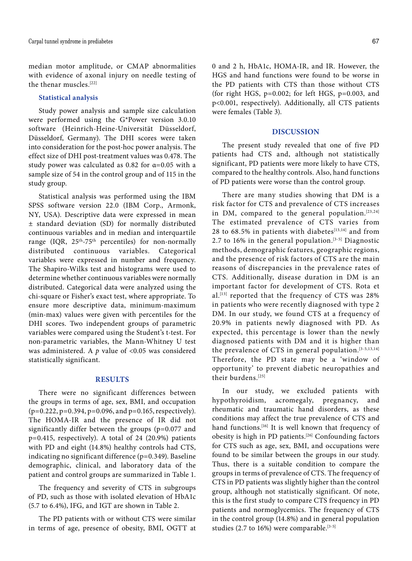median motor amplitude, or CMAP abnormalities with evidence of axonal injury on needle testing of the thenar muscles.[22]

## **Statistical analysis**

Study power analysis and sample size calculation were performed using the G\*Power version 3.0.10 software (Heinrich-Heine-Universität Düsseldorf, Düsseldorf, Germany). The DHI scores were taken into consideration for the post-hoc power analysis. The effect size of DHI post-treatment values was 0.478. The study power was calculated as 0.82 for  $\alpha$ =0.05 with a sample size of 54 in the control group and of 115 in the study group.

Statistical analysis was performed using the IBM SPSS software version 22.0 (IBM Corp., Armonk, NY, USA). Descriptive data were expressed in mean ± standard deviation (SD) for normally distributed continuous variables and in median and interquartile range (IQR,  $25<sup>th</sup>-75<sup>th</sup>$  percentiles) for non-normally distributed continuous variables. Categorical variables were expressed in number and frequency. The Shapiro-Wilks test and histograms were used to determine whether continuous variables were normally distributed. Categorical data were analyzed using the chi-square or Fisher's exact test, where appropriate. To ensure more descriptive data, minimum-maximum (min-max) values were given with percentiles for the DHI scores. Two independent groups of parametric variables were compared using the Student's t-test. For non-parametric variables, the Mann-Whitney U test was administered. A *p* value of <0.05 was considered statistically significant.

## **RESULTS**

There were no significant differences between the groups in terms of age, sex, BMI, and occupation  $(p=0.222, p=0.394, p=0.096, and p=0.165, respectively).$ The HOMA-IR and the presence of IR did not significantly differ between the groups (p=0.077 and p=0.415, respectively). A total of 24 (20.9%) patients with PD and eight (14.8%) healthy controls had CTS, indicating no significant difference (p=0.349). Baseline demographic, clinical, and laboratory data of the patient and control groups are summarized in Table 1.

The frequency and severity of CTS in subgroups of PD, such as those with isolated elevation of HbA1c (5.7 to 6.4%), IFG, and IGT are shown in Table 2.

The PD patients with or without CTS were similar in terms of age, presence of obesity, BMI, OGTT at 0 and 2 h, HbA1c, HOMA-IR, and IR. However, the HGS and hand functions were found to be worse in the PD patients with CTS than those without CTS (for right HGS, p=0.002; for left HGS, p=0.003, and p<0.001, respectively). Additionally, all CTS patients were females (Table 3).

## **DISCUSSION**

The present study revealed that one of five PD patients had CTS and, although not statistically significant, PD patients were more likely to have CTS, compared to the healthy controls. Also, hand functions of PD patients were worse than the control group.

There are many studies showing that DM is a risk factor for CTS and prevalence of CTS increases in DM, compared to the general population.<sup>[23,24]</sup> The estimated prevalence of CTS varies from 28 to  $68.5\%$  in patients with diabetes<sup>[13,14]</sup> and from 2.7 to 16% in the general population.<sup>[3-5]</sup> Diagnostic methods, demographic features, geographic regions, and the presence of risk factors of CTS are the main reasons of discrepancies in the prevalence rates of CTS. Additionally, disease duration in DM is an important factor for development of CTS. Rota et al.[13] reported that the frequency of CTS was 28% in patients who were recently diagnosed with type 2 DM. In our study, we found CTS at a frequency of 20.9% in patients newly diagnosed with PD. As expected, this percentage is lower than the newly diagnosed patients with DM and it is higher than the prevalence of CTS in general population.<sup>[3-5,13,14]</sup> Therefore, the PD state may be a 'window of opportunity' to prevent diabetic neuropathies and their burdens.<sup>[25]</sup>

In our study, we excluded patients with hypothyroidism, acromegaly, pregnancy, and rheumatic and traumatic hand disorders, as these conditions may affect the true prevalence of CTS and hand functions.<sup>[16]</sup> It is well known that frequency of obesity is high in PD patients.[26] Confounding factors for CTS such as age, sex, BMI, and occupations were found to be similar between the groups in our study. Thus, there is a suitable condition to compare the groups in terms of prevalence of CTS. The frequency of CTS in PD patients was slightly higher than the control group, although not statistically significant. Of note, this is the first study to compare CTS frequency in PD patients and normoglycemics. The frequency of CTS in the control group (14.8%) and in general population studies (2.7 to 16%) were comparable.<sup>[3-5]</sup>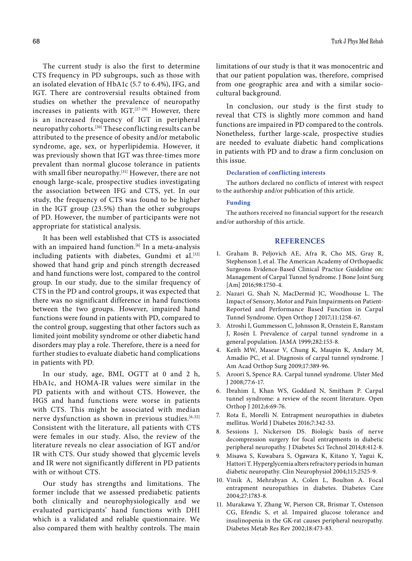The current study is also the first to determine CTS frequency in PD subgroups, such as those with an isolated elevation of HbA1c (5.7 to 6.4%), IFG, and IGT. There are controversial results obtained from studies on whether the prevalence of neuropathy increases in patients with IGT.[27-29] However, there is an increased frequency of IGT in peripheral neuropathy cohorts.[30] These conflicting results can be attributed to the presence of obesity and/or metabolic syndrome, age, sex, or hyperlipidemia. However, it was previously shown that IGT was three-times more prevalent than normal glucose tolerance in patients with small fiber neuropathy.[31] However, there are not enough large-scale, prospective studies investigating the association between IFG and CTS, yet. In our study, the frequency of CTS was found to be higher in the IGT group (23.5%) than the other subgroups of PD. However, the number of participants were not appropriate for statistical analysis.

It has been well established that CTS is associated with an impaired hand function.<sup>[6]</sup> In a meta-analysis including patients with diabetes, Gundmi et al.<sup>[32]</sup> showed that hand grip and pinch strength decreased and hand functions were lost, compared to the control group. In our study, due to the similar frequency of CTS in the PD and control groups, it was expected that there was no significant difference in hand functions between the two groups. However, impaired hand functions were found in patients with PD, compared to the control group, suggesting that other factors such as limited joint mobility syndrome or other diabetic hand disorders may play a role. Therefore, there is a need for further studies to evaluate diabetic hand complications in patients with PD.

In our study, age, BMI, OGTT at 0 and 2 h, HbA1c, and HOMA-IR values were similar in the PD patients with and without CTS. However, the HGS and hand functions were worse in patients with CTS. This might be associated with median nerve dysfunction as shown in previous studies.<sup>[6,32]</sup> Consistent with the literature, all patients with CTS were females in our study. Also, the review of the literature reveals no clear association of IGT and/or IR with CTS. Our study showed that glycemic levels and IR were not significantly different in PD patients with or without CTS.

Our study has strengths and limitations. The former include that we assessed prediabetic patients both clinically and neurophysiologically and we evaluated participants' hand functions with DHI which is a validated and reliable questionnaire. We also compared them with healthy controls. The main limitations of our study is that it was monocentric and that our patient population was, therefore, comprised from one geographic area and with a similar sociocultural background.

In conclusion, our study is the first study to reveal that CTS is slightly more common and hand functions are impaired in PD compared to the controls. Nonetheless, further large-scale, prospective studies are needed to evaluate diabetic hand complications in patients with PD and to draw a firm conclusion on this issue.

### **Declaration of conflicting interests**

The authors declared no conflicts of interest with respect to the authorship and/or publication of this article.

#### **Funding**

The authors received no financial support for the research and/or authorship of this article.

#### **REFERENCES**

- 1. Graham B, Peljovich AE, Afra R, Cho MS, Gray R, Stephenson J, et al. The American Academy of Orthopaedic Surgeons Evidence-Based Clinical Practice Guideline on: Management of Carpal Tunnel Syndrome. J Bone Joint Surg [Am] 2016;98:1750-4.
- 2. Nazari G, Shah N, MacDermid JC, Woodhouse L. The Impact of Sensory, Motor and Pain Impairments on Patient-Reported and Performance Based Function in Carpal Tunnel Syndrome. Open Orthop J 2017;11:1258-67.
- 3. Atroshi I, Gummesson C, Johnsson R, Ornstein E, Ranstam J, Rosén I. Prevalence of carpal tunnel syndrome in a general population. JAMA 1999;282:153-8.
- 4. Keith MW, Masear V, Chung K, Maupin K, Andary M, Amadio PC, et al. Diagnosis of carpal tunnel syndrome. J Am Acad Orthop Surg 2009;17:389-96.
- 5. Aroori S, Spence RA. Carpal tunnel syndrome. Ulster Med J 2008;77:6-17.
- 6. Ibrahim I, Khan WS, Goddard N, Smitham P. Carpal tunnel syndrome: a review of the recent literature. Open Orthop J 2012;6:69-76.
- 7. Rota E, Morelli N. Entrapment neuropathies in diabetes mellitus. World J Diabetes 2016;7:342-53.
- 8. Sessions J, Nickerson DS. Biologic basis of nerve decompression surgery for focal entrapments in diabetic peripheral neuropathy. J Diabetes Sci Technol 2014;8:412-8.
- 9. Misawa S, Kuwabara S, Ogawara K, Kitano Y, Yagui K, Hattori T. Hyperglycemia alters refractory periods in human diabetic neuropathy. Clin Neurophysiol 2004;115:2525-9.
- 10. Vinik A, Mehrabyan A, Colen L, Boulton A. Focal entrapment neuropathies in diabetes. Diabetes Care 2004;27:1783-8.
- 11. Murakawa Y, Zhang W, Pierson CR, Brismar T, Ostenson CG, Efendic S, et al. Impaired glucose tolerance and insulinopenia in the GK-rat causes peripheral neuropathy. Diabetes Metab Res Rev 2002;18:473-83.